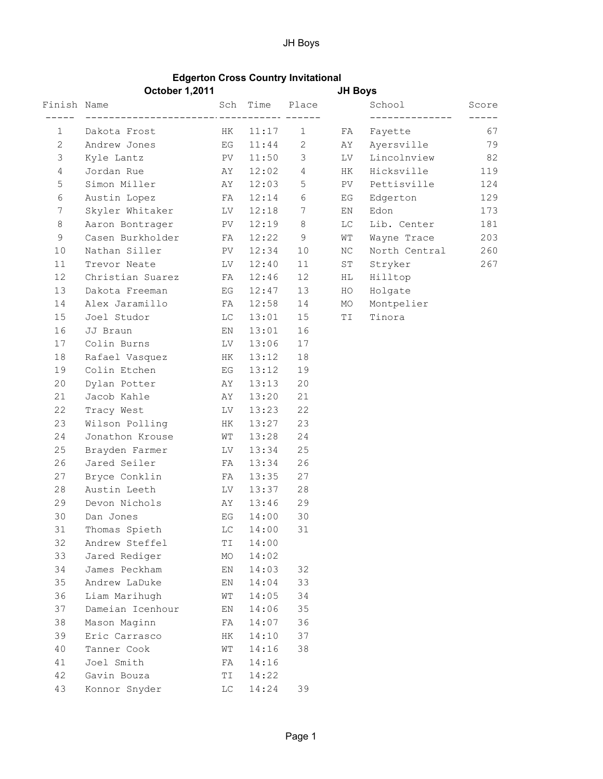## JH Boys

## Edgerton Cross Country Invitational

|                 | <b>October 1,2011</b>                      |                        |          |              | <b>JH Boys</b> |                                 |                                 |
|-----------------|--------------------------------------------|------------------------|----------|--------------|----------------|---------------------------------|---------------------------------|
| Finish Name     | Sch Time Place                             |                        |          |              |                | School Score<br>_______________ |                                 |
|                 | 1 Dakota Frost HK 11:17 1 FA Fayette       |                        |          |              |                |                                 | $\qquad \qquad - - - - -$<br>67 |
| $\mathbf{2}$    | Andrew Jones 6 EG 11:44 2 AY Ayersville 79 |                        |          |              |                |                                 |                                 |
| 3               | Kyle Lantz PV                              |                        |          |              |                | 11:50 3 LV Lincolnview 82       |                                 |
| $\overline{4}$  | Jordan Rue                                 | AY                     |          | $12:02$ 4 HK |                | Hicksville                      | 119                             |
| 5               | Simon Miller AY                            |                        |          | $12:03$ 5 PV |                | Pettisville                     | 124                             |
| 6               | Austin Lopez FA 12:14 6                    |                        |          |              | EG             | Edgerton                        | 129                             |
| $7\phantom{.0}$ | Skyler Whitaker LV 12:18 7                 |                        |          |              | EN             | Edon                            | 173                             |
| $8\,$           | Aaron Bontrager PV 12:19 8                 |                        |          |              | LC             | Lib. Center                     | 181                             |
| 9               | Casen Burkholder FA                        |                        |          | $12:22$ 9    | WT             | Wayne Trace                     | 203                             |
| 10              | Nathan Siller PV                           |                        | 12:34    | 10           | NC             | North Central                   | 260                             |
| 11              | Trevor Neate LV                            |                        | 12:40    | 11           | ST             | Stryker                         | 267                             |
| 12              | Christian Suarez FA                        |                        | 12:46    | 12           | HL             | Hilltop                         |                                 |
| 13              | Dakota Freeman EG                          |                        | 12:47    | 13           | HO             | Holgate                         |                                 |
| 14              |                                            |                        |          | 14           | MO             | Montpelier                      |                                 |
| 15              | Joel Studor LC                             |                        |          | $13:01$ 15   | TI             | Tinora                          |                                 |
| 16              | JJ Braun                                   | EN                     | 13:01    | 16           |                |                                 |                                 |
| 17              | Colin Burns LV                             |                        | 13:06    | 17           |                |                                 |                                 |
| 18              | Rafael Vasquez HK                          |                        | 13:12    | 18           |                |                                 |                                 |
| 19              | Colin Etchen BG                            |                        | 13:12    | 19           |                |                                 |                                 |
| 20              | Dylan Potter AY                            |                        | 13:13    | 20           |                |                                 |                                 |
| 21              | Jacob Kahle AY                             |                        | 13:20    | 21           |                |                                 |                                 |
| 22              | Tracy West LV 13:23                        |                        |          | 22           |                |                                 |                                 |
| 23              | Wilson Polling HK                          |                        | 13:27    | 23           |                |                                 |                                 |
| 24              | Jonathon Krouse                            | ${\tt W}{\tt T}$       | 13:28 24 |              |                |                                 |                                 |
| 25              | Brayden Farmer LV                          |                        | 13:34    | 25           |                |                                 |                                 |
| 26              | Jared Seiler FA                            |                        | 13:34    | 26           |                |                                 |                                 |
| 27              | Bryce Conklin FA                           |                        | 13:35    | 27           |                |                                 |                                 |
| 28              | Austin Leeth                               | LV                     | 13:37    | 28           |                |                                 |                                 |
| 29              | Devon Nichols AY                           |                        | 13:46    | 29           |                |                                 |                                 |
| 30              | Dan Jones                                  | EG                     | 14:00    | 30           |                |                                 |                                 |
| 31              | Thomas Spieth                              | LC                     | 14:00    | 31           |                |                                 |                                 |
| 32              | Andrew Steffel                             | ΤI                     | 14:00    |              |                |                                 |                                 |
| 33              | Jared Rediger                              | MO                     | 14:02    |              |                |                                 |                                 |
| 34              | James Peckham                              | ΕN                     | 14:03    | 32           |                |                                 |                                 |
| 35              | Andrew LaDuke                              | ΕN                     | 14:04    | 33           |                |                                 |                                 |
| 36              | Liam Marihugh                              | WΤ                     | 14:05    | 34           |                |                                 |                                 |
| 37              | Dameian Icenhour                           | ΕN                     | 14:06    | 35           |                |                                 |                                 |
| 38              | Mason Maginn                               | FA                     | 14:07    | 36           |                |                                 |                                 |
| 39              | Eric Carrasco                              | HК                     | 14:10    | 37           |                |                                 |                                 |
| 40              | Tanner Cook                                | WΤ                     | 14:16    | 38           |                |                                 |                                 |
| 41              | Joel Smith                                 | FA                     | 14:16    |              |                |                                 |                                 |
| 42              | Gavin Bouza                                | ΤI                     | 14:22    |              |                |                                 |                                 |
| 43              | Konnor Snyder                              | $\mathbb{L}\mathbb{C}$ | 14:24    | 39           |                |                                 |                                 |